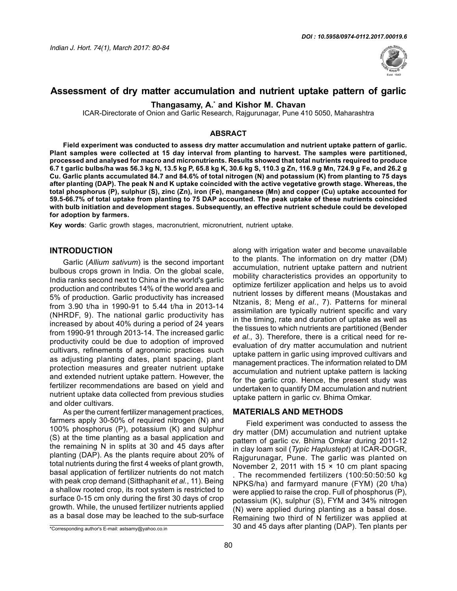

# **Assessment of dry matter accumulation and nutrient uptake pattern of garlic**

**Thangasamy, A.\* and Kishor M. Chavan**

ICAR-Directorate of Onion and Garlic Research, Rajgurunagar, Pune 410 5050, Maharashtra

#### **ABSRACT**

**Field experiment was conducted to assess dry matter accumulation and nutrient uptake pattern of garlic. Plant samples were collected at 15 day interval from planting to harvest. The samples were partitioned, processed and analysed for macro and micronutrients. Results showed that total nutrients required to produce 6.7 t garlic bulbs/ha was 56.3 kg N, 13.5 kg P, 65.8 kg K, 30.6 kg S, 110.3 g Zn, 116.9 g Mn, 724.9 g Fe, and 26.2 g Cu. Garlic plants accumulated 84.7 and 84.6% of total nitrogen (N) and potassium (K) from planting to 75 days after planting (DAP). The peak N and K uptake coincided with the active vegetative growth stage. Whereas, the total phosphorus (P), sulphur (S), zinc (Zn), iron (Fe), manganese (Mn) and copper (Cu) uptake accounted for 59.5-66.7% of total uptake from planting to 75 DAP accounted. The peak uptake of these nutrients coincided with bulb initiation and development stages. Subsequently, an effective nutrient schedule could be developed for adoption by farmers.** 

**Key words**: Garlic growth stages, macronutrient, micronutrient, nutrient uptake.

#### **INTRODUCTION**

Garlic (*Allium sativum*) is the second important bulbous crops grown in India. On the global scale, India ranks second next to China in the world's garlic production and contributes 14% of the world area and 5% of production. Garlic productivity has increased from 3.90 t/ha in 1990-91 to 5.44 t/ha in 2013-14 (NHRDF, 9). The national garlic productivity has increased by about 40% during a period of 24 years from 1990-91 through 2013-14. The increased garlic productivity could be due to adoption of improved cultivars, refinements of agronomic practices such as adjusting planting dates, plant spacing, plant protection measures and greater nutrient uptake and extended nutrient uptake pattern. However, the fertilizer recommendations are based on yield and nutrient uptake data collected from previous studies and older cultivars.

As per the current fertilizer management practices, farmers apply 30-50% of required nitrogen (N) and 100% phosphorus (P), potassium (K) and sulphur (S) at the time planting as a basal application and the remaining N in splits at 30 and 45 days after planting (DAP). As the plants require about 20% of total nutrients during the first 4 weeks of plant growth, basal application of fertilizer nutrients do not match with peak crop demand (Sitthaphanit *et al.*, 11). Being a shallow rooted crop, its root system is restricted to surface 0-15 cm only during the first 30 days of crop growth. While, the unused fertilizer nutrients applied as a basal dose may be leached to the sub-surface

along with irrigation water and become unavailable to the plants. The information on dry matter (DM) accumulation, nutrient uptake pattern and nutrient mobility characteristics provides an opportunity to optimize fertilizer application and helps us to avoid nutrient losses by different means (Moustakas and Ntzanis, 8; Meng *et al*., 7). Patterns for mineral assimilation are typically nutrient specific and vary in the timing, rate and duration of uptake as well as the tissues to which nutrients are partitioned (Bender *et al*., 3). Therefore, there is a critical need for reevaluation of dry matter accumulation and nutrient uptake pattern in garlic using improved cultivars and management practices. The information related to DM accumulation and nutrient uptake pattern is lacking for the garlic crop. Hence, the present study was undertaken to quantify DM accumulation and nutrient uptake pattern in garlic cv. Bhima Omkar.

## **MATERIALS AND METHODS**

Field experiment was conducted to assess the dry matter (DM) accumulation and nutrient uptake pattern of garlic cv. Bhima Omkar during 2011-12 in clay loam soil (*Typic Haplustept*) at ICAR-DOGR, Rajgurunagar, Pune. The garlic was planted on November 2, 2011 with 15  $\times$  10 cm plant spacing . The recommended fertilizers (100:50:50:50 kg NPKS/ha) and farmyard manure (FYM) (20 t/ha) were applied to raise the crop. Full of phosphorus (P), potassium (K), sulphur (S), FYM and 34% nitrogen (N) were applied during planting as a basal dose. Remaining two third of N fertilizer was applied at 30 and 45 days after planting (DAP). Ten plants per

<sup>\*</sup>Corresponding author's E-mail: astsamy@yahoo.co.in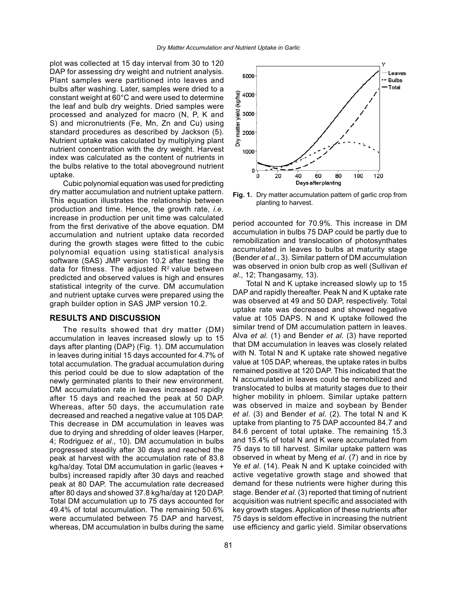plot was collected at 15 day interval from 30 to 120 DAP for assessing dry weight and nutrient analysis. Plant samples were partitioned into leaves and bulbs after washing. Later, samples were dried to a constant weight at 60°C and were used to determine the leaf and bulb dry weights. Dried samples were processed and analyzed for macro (N, P, K and S) and micronutrients (Fe, Mn, Zn and Cu) using standard procedures as described by Jackson (5). Nutrient uptake was calculated by multiplying plant nutrient concentration with the dry weight. Harvest index was calculated as the content of nutrients in the bulbs relative to the total aboveground nutrient uptake.

Cubic polynomial equation was used for predicting dry matter accumulation and nutrient uptake pattern. This equation illustrates the relationship between production and time. Hence, the growth rate, *i.e.* increase in production per unit time was calculated from the first derivative of the above equation. DM accumulation and nutrient uptake data recorded during the growth stages were fitted to the cubic polynomial equation using statistical analysis software (SAS) JMP version 10.2 after testing the data for fitness. The adjusted  $R<sup>2</sup>$  value between predicted and observed values is high and ensures statistical integrity of the curve. DM accumulation and nutrient uptake curves were prepared using the graph builder option in SAS JMP version 10.2.

#### **RESULTS AND DISCUSSION**

The results showed that dry matter (DM) accumulation in leaves increased slowly up to 15 days after planting (DAP) (Fig. 1). DM accumulation in leaves during initial 15 days accounted for 4.7% of total accumulation. The gradual accumulation during this period could be due to slow adaptation of the newly germinated plants to their new environment. DM accumulation rate in leaves increased rapidly after 15 days and reached the peak at 50 DAP. Whereas, after 50 days, the accumulation rate decreased and reached a negative value at 105 DAP. This decrease in DM accumulation in leaves was due to drying and shredding of older leaves (Harper, 4; Rodriguez *et al.*, 10). DM accumulation in bulbs progressed steadily after 30 days and reached the peak at harvest with the accumulation rate of 83.8 kg/ha/day. Total DM accumulation in garlic (leaves + bulbs) increased rapidly after 30 days and reached peak at 80 DAP. The accumulation rate decreased after 80 days and showed 37.8 kg/ha/day at 120 DAP. Total DM accumulation up to 75 days accounted for 49.4% of total accumulation. The remaining 50.6% were accumulated between 75 DAP and harvest, whereas, DM accumulation in bulbs during the same



**Fig. 1.** Dry matter accumulation pattern of garlic crop from planting to harvest.

period accounted for 70.9%. This increase in DM accumulation in bulbs 75 DAP could be partly due to remobilization and translocation of photosynthates accumulated in leaves to bulbs at maturity stage (Bender *et al*., 3). Similar pattern of DM accumulation was observed in onion bulb crop as well (Sullivan *et al*., 12; Thangasamy, 13).

Total N and K uptake increased slowly up to 15 DAP and rapidly thereafter. Peak N and K uptake rate was observed at 49 and 50 DAP, respectively. Total uptake rate was decreased and showed negative value at 105 DAPS. N and K uptake followed the similar trend of DM accumulation pattern in leaves. Alva *et al*. (1) and Bender *et al*. (3) have reported that DM accumulation in leaves was closely related with N. Total N and K uptake rate showed negative value at 105 DAP, whereas, the uptake rates in bulbs remained positive at 120 DAP. This indicated that the N accumulated in leaves could be remobilized and translocated to bulbs at maturity stages due to their higher mobility in phloem. Similar uptake pattern was observed in maize and soybean by Bender *et al*. (3) and Bender *et al*. (2). The total N and K uptake from planting to 75 DAP accounted 84.7 and 84.6 percent of total uptake. The remaining 15.3 and 15.4% of total N and K were accumulated from 75 days to till harvest. Similar uptake pattern was observed in wheat by Meng *et al*. (7) and in rice by Ye *et al*. (14). Peak N and K uptake coincided with active vegetative growth stage and showed that demand for these nutrients were higher during this stage. Bender *et al*. (3) reported that timing of nutrient acquisition was nutrient specific and associated with key growth stages. Application of these nutrients after 75 days is seldom effective in increasing the nutrient use efficiency and garlic yield. Similar observations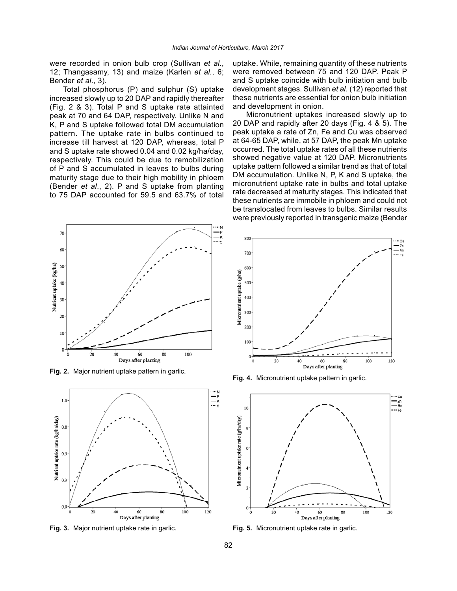were recorded in onion bulb crop (Sullivan *et al*., 12; Thangasamy, 13) and maize (Karlen *et al.*, 6; Bender *et al*., 3).

Total phosphorus (P) and sulphur (S) uptake increased slowly up to 20 DAP and rapidly thereafter (Fig. 2 & 3). Total P and S uptake rate attainted peak at 70 and 64 DAP, respectively. Unlike N and K, P and S uptake followed total DM accumulation pattern. The uptake rate in bulbs continued to increase till harvest at 120 DAP, whereas, total P and S uptake rate showed 0.04 and 0.02 kg/ha/day, respectively. This could be due to remobilization of P and S accumulated in leaves to bulbs during maturity stage due to their high mobility in phloem (Bender *et al*., 2). P and S uptake from planting to 75 DAP accounted for 59.5 and 63.7% of total



**Fig. 2.** Major nutrient uptake pattern in garlic.



uptake. While, remaining quantity of these nutrients were removed between 75 and 120 DAP. Peak P and S uptake coincide with bulb initiation and bulb development stages. Sullivan *et al.* (12) reported that these nutrients are essential for onion bulb initiation and development in onion.

Micronutrient uptakes increased slowly up to 20 DAP and rapidly after 20 days (Fig. 4 & 5). The peak uptake a rate of Zn, Fe and Cu was observed at 64-65 DAP, while, at 57 DAP, the peak Mn uptake occurred. The total uptake rates of all these nutrients showed negative value at 120 DAP. Micronutrients uptake pattern followed a similar trend as that of total DM accumulation. Unlike N, P, K and S uptake, the micronutrient uptake rate in bulbs and total uptake rate decreased at maturity stages. This indicated that these nutrients are immobile in phloem and could not be translocated from leaves to bulbs. Similar results were previously reported in transgenic maize (Bender



**Fig. 4.** Micronutrient uptake pattern in garlic.



**Fig. 3.** Major nutrient uptake rate in garlic. **Fig. 5.** Micronutrient uptake rate in garlic.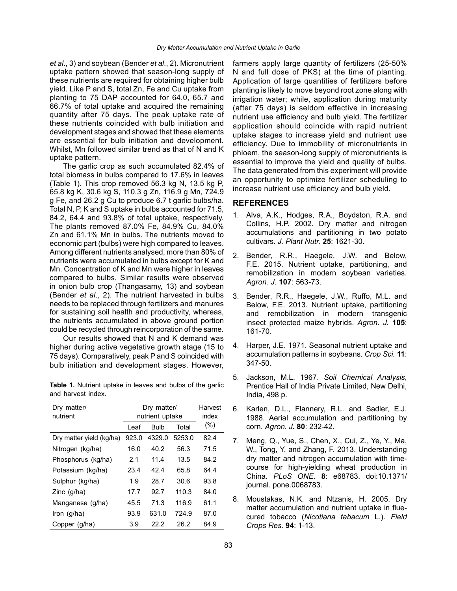*et al*., 3) and soybean (Bender *et al*., 2). Micronutrient uptake pattern showed that season-long supply of these nutrients are required for obtaining higher bulb yield. Like P and S, total Zn, Fe and Cu uptake from planting to 75 DAP accounted for 64.0, 65.7 and 66.7% of total uptake and acquired the remaining quantity after 75 days. The peak uptake rate of these nutrients coincided with bulb initiation and development stages and showed that these elements are essential for bulb initiation and development. Whilst, Mn followed similar trend as that of N and K uptake pattern.

The garlic crop as such accumulated 82.4% of total biomass in bulbs compared to 17.6% in leaves (Table 1). This crop removed 56.3 kg N, 13.5 kg P, 65.8 kg K, 30.6 kg S, 110.3 g Zn, 116.9 g Mn, 724.9 g Fe, and 26.2 g Cu to produce 6.7 t garlic bulbs/ha. Total N, P, K and S uptake in bulbs accounted for 71.5, 84.2, 64.4 and 93.8% of total uptake, respectively. The plants removed 87.0% Fe, 84.9% Cu, 84.0% Zn and 61.1% Mn in bulbs. The nutrients moved to economic part (bulbs) were high compared to leaves. Among different nutrients analysed, more than 80% of nutrients were accumulated in bulbs except for K and Mn. Concentration of K and Mn were higher in leaves compared to bulbs. Similar results were observed in onion bulb crop (Thangasamy, 13) and soybean (Bender *et al*., 2). The nutrient harvested in bulbs needs to be replaced through fertilizers and manures for sustaining soil health and productivity, whereas, the nutrients accumulated in above ground portion could be recycled through reincorporation of the same.

Our results showed that N and K demand was higher during active vegetative growth stage (15 to 75 days). Comparatively, peak P and S coincided with bulb initiation and development stages. However,

**Table 1.** Nutrient uptake in leaves and bulbs of the garlic and harvest index.

| Dry matter/<br>nutrient  | Dry matter/<br>nutrient uptake |             |        | Harvest<br>index |
|--------------------------|--------------------------------|-------------|--------|------------------|
|                          | l eaf                          | <b>Bulb</b> | Total  | $(\%)$           |
| Dry matter yield (kg/ha) | 923.0                          | 4329.0      | 5253.0 | 82.4             |
| Nitrogen (kg/ha)         | 16.0                           | 40.2        | 56.3   | 71.5             |
| Phosphorus (kg/ha)       | 2.1                            | 11.4        | 13.5   | 84.2             |
| Potassium (kg/ha)        | 23.4                           | 42.4        | 65.8   | 64.4             |
| Sulphur (kg/ha)          | 1.9                            | 28.7        | 30.6   | 93.8             |
| Zinc $(g/ha)$            | 17.7                           | 92.7        | 110.3  | 84.0             |
| Manganese (g/ha)         | 45.5                           | 71.3        | 116.9  | 61.1             |
| Iron $(g/ha)$            | 93.9                           | 631.0       | 724.9  | 87.0             |
| Copper (g/ha)            | 3.9                            | 22.2        | 26.2   | 84.9             |

farmers apply large quantity of fertilizers (25-50% N and full dose of PKS) at the time of planting. Application of large quantities of fertilizers before planting is likely to move beyond root zone along with irrigation water; while, application during maturity (after 75 days) is seldom effective in increasing nutrient use efficiency and bulb yield. The fertilizer application should coincide with rapid nutrient uptake stages to increase yield and nutrient use efficiency. Due to immobility of micronutrients in phloem, the season-long supply of micronutrients is essential to improve the yield and quality of bulbs. The data generated from this experiment will provide an opportunity to optimize fertilizer scheduling to increase nutrient use efficiency and bulb yield.

## **REFERENCES**

- 1. Alva, A.K., Hodges, R.A., Boydston, R.A. and Collins, H.P. 2002. Dry matter and nitrogen accumulations and partitioning in two potato cultivars. *J. Plant Nutr.* **25**: 1621-30.
- 2. Bender, R.R., Haegele, J.W. and Below, F.E. 2015. Nutrient uptake, partitioning, and remobilization in modern soybean varieties. *Agron. J.* **107**: 563-73.
- 3. Bender, R.R., Haegele, J.W., Ruffo, M.L. and Below, F.E. 2013. Nutrient uptake, partitioning and remobilization in modern transgenic insect protected maize hybrids. *Agron. J.* **105**: 161-70.
- 4. Harper, J.E. 1971. Seasonal nutrient uptake and accumulation patterns in soybeans. *Crop Sci.* **11**: 347-50.
- 5. Jackson, M.L. 1967. *Soil Chemical Analysis*, Prentice Hall of India Private Limited, New Delhi, India, 498 p.
- 6. Karlen, D.L., Flannery, R.L. and Sadler, E.J. 1988. Aerial accumulation and partitioning by corn. *Agron. J.* **80**: 232-42.
- 7. Meng, Q., Yue, S., Chen, X., Cui, Z., Ye, Y., Ma, W., Tong, Y. and Zhang, F. 2013. Understanding dry matter and nitrogen accumulation with timecourse for high-yielding wheat production in China. *PLoS ONE.* **8**: e68783. doi:10.1371/ journal. pone.0068783.
- 8. Moustakas, N.K. and Ntzanis, H. 2005. Dry matter accumulation and nutrient uptake in fluecured tobacco (*Nicotiana tabacum* L.). *Field Crops Res.* **94**: 1-13.